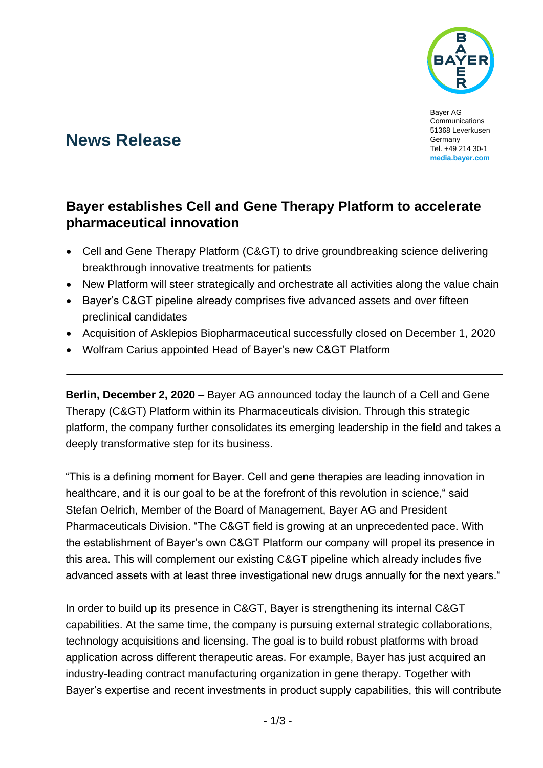

Bayer AG Communications 51368 Leverkusen Germany Tel. +49 214 30-1 **media.bayer.com**

# **News Release**

## **Bayer establishes Cell and Gene Therapy Platform to accelerate pharmaceutical innovation**

- Cell and Gene Therapy Platform (C&GT) to drive groundbreaking science delivering breakthrough innovative treatments for patients
- New Platform will steer strategically and orchestrate all activities along the value chain
- Bayer's C&GT pipeline already comprises five advanced assets and over fifteen preclinical candidates
- Acquisition of Asklepios Biopharmaceutical successfully closed on December 1, 2020
- Wolfram Carius appointed Head of Bayer's new C&GT Platform

**Berlin, December 2, 2020 –** Bayer AG announced today the launch of a Cell and Gene Therapy (C&GT) Platform within its Pharmaceuticals division. Through this strategic platform, the company further consolidates its emerging leadership in the field and takes a deeply transformative step for its business.

"This is a defining moment for Bayer. Cell and gene therapies are leading innovation in healthcare, and it is our goal to be at the forefront of this revolution in science," said Stefan Oelrich, Member of the Board of Management, Bayer AG and President Pharmaceuticals Division. "The C&GT field is growing at an unprecedented pace. With the establishment of Bayer's own C&GT Platform our company will propel its presence in this area. This will complement our existing C&GT pipeline which already includes five advanced assets with at least three investigational new drugs annually for the next years."

In order to build up its presence in C&GT, Bayer is strengthening its internal C&GT capabilities. At the same time, the company is pursuing external strategic collaborations, technology acquisitions and licensing. The goal is to build robust platforms with broad application across different therapeutic areas. For example, Bayer has just acquired an industry-leading contract manufacturing organization in gene therapy. Together with Bayer's expertise and recent investments in product supply capabilities, this will contribute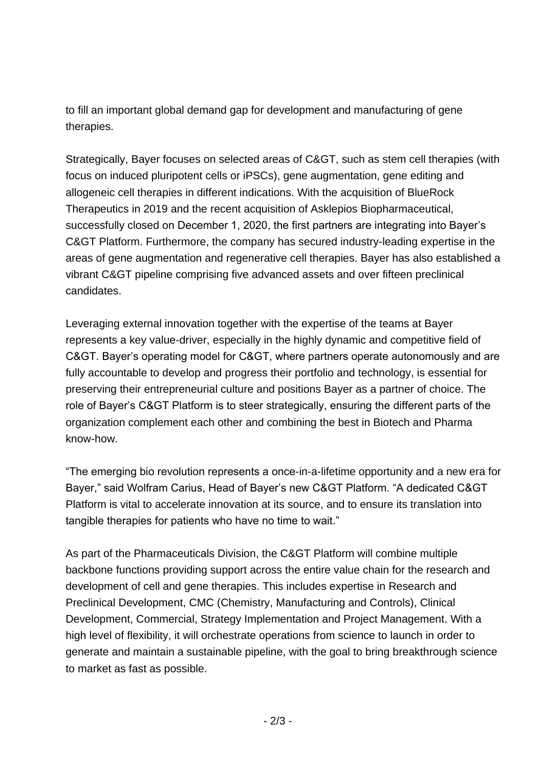to fill an important global demand gap for development and manufacturing of gene therapies.

Strategically, Bayer focuses on selected areas of C&GT, such as stem cell therapies (with focus on induced pluripotent cells or iPSCs), gene augmentation, gene editing and allogeneic cell therapies in different indications. With the acquisition of BlueRock Therapeutics in 2019 and the recent acquisition of Asklepios Biopharmaceutical, successfully closed on December 1, 2020, the first partners are integrating into Bayer's C&GT Platform. Furthermore, the company has secured industry-leading expertise in the areas of gene augmentation and regenerative cell therapies. Bayer has also established a vibrant C&GT pipeline comprising five advanced assets and over fifteen preclinical candidates.

Leveraging external innovation together with the expertise of the teams at Bayer represents a key value-driver, especially in the highly dynamic and competitive field of C&GT. Bayer's operating model for C&GT, where partners operate autonomously and are fully accountable to develop and progress their portfolio and technology, is essential for preserving their entrepreneurial culture and positions Bayer as a partner of choice. The role of Bayer's C&GT Platform is to steer strategically, ensuring the different parts of the organization complement each other and combining the best in Biotech and Pharma know-how.

"The emerging bio revolution represents a once-in-a-lifetime opportunity and a new era for Bayer," said Wolfram Carius, Head of Bayer's new C&GT Platform. "A dedicated C&GT Platform is vital to accelerate innovation at its source, and to ensure its translation into tangible therapies for patients who have no time to wait."

As part of the Pharmaceuticals Division, the C&GT Platform will combine multiple backbone functions providing support across the entire value chain for the research and development of cell and gene therapies. This includes expertise in Research and Preclinical Development, CMC (Chemistry, Manufacturing and Controls), Clinical Development, Commercial, Strategy Implementation and Project Management. With a high level of flexibility, it will orchestrate operations from science to launch in order to generate and maintain a sustainable pipeline, with the goal to bring breakthrough science to market as fast as possible.